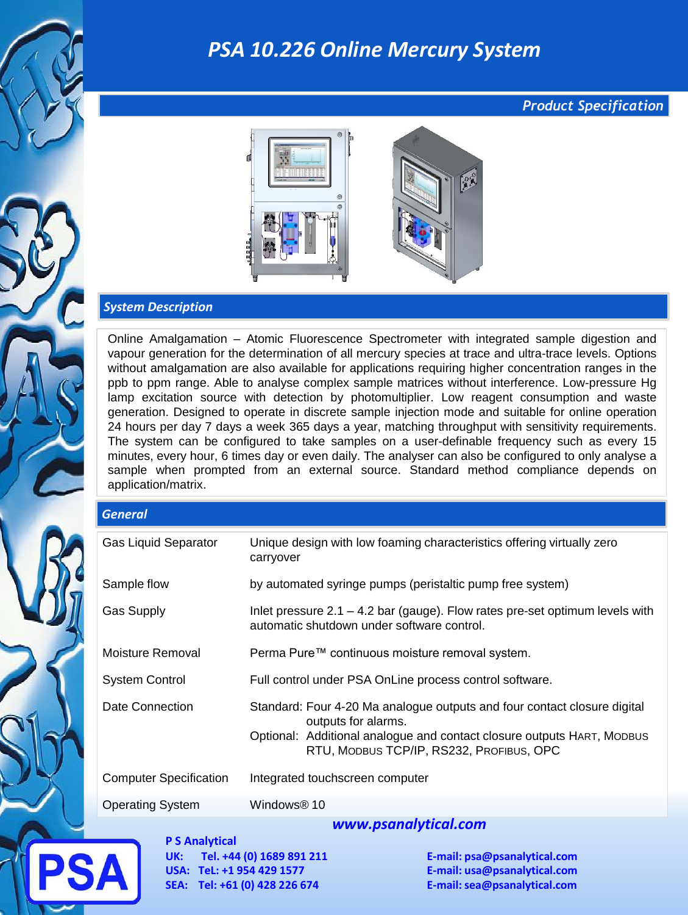## *PSA 10.226 Online Mercury System*

#### *Product Specification*



#### *System Description*

Online Amalgamation – Atomic Fluorescence Spectrometer with integrated sample digestion and vapour generation for the determination of all mercury species at trace and ultra-trace levels. Options without amalgamation are also available for applications requiring higher concentration ranges in the ppb to ppm range. Able to analyse complex sample matrices without interference. Low-pressure Hg lamp excitation source with detection by photomultiplier. Low reagent consumption and waste generation. Designed to operate in discrete sample injection mode and suitable for online operation 24 hours per day 7 days a week 365 days a year, matching throughput with sensitivity requirements. The system can be configured to take samples on a user-definable frequency such as every 15 minutes, every hour, 6 times day or even daily. The analyser can also be configured to only analyse a sample when prompted from an external source. Standard method compliance depends on application/matrix.

# *General*

| <b>Gas Liquid Separator</b>   | Unique design with low foaming characteristics offering virtually zero<br>carryover                                                                                                                                   |
|-------------------------------|-----------------------------------------------------------------------------------------------------------------------------------------------------------------------------------------------------------------------|
| Sample flow                   | by automated syringe pumps (peristaltic pump free system)                                                                                                                                                             |
| <b>Gas Supply</b>             | Inlet pressure $2.1 - 4.2$ bar (gauge). Flow rates pre-set optimum levels with<br>automatic shutdown under software control.                                                                                          |
| Moisture Removal              | Perma Pure™ continuous moisture removal system.                                                                                                                                                                       |
| <b>System Control</b>         | Full control under PSA OnLine process control software.                                                                                                                                                               |
| <b>Date Connection</b>        | Standard: Four 4-20 Ma analogue outputs and four contact closure digital<br>outputs for alarms.<br>Optional: Additional analogue and contact closure outputs HART, MODBUS<br>RTU, MODBUS TCP/IP, RS232, PROFIBUS, OPC |
| <b>Computer Specification</b> | Integrated touchscreen computer                                                                                                                                                                                       |
| <b>Operating System</b>       | Windows® 10                                                                                                                                                                                                           |
|                               | unuu ncanahitical com                                                                                                                                                                                                 |

**P S Analytical UK: Tel. +44 (0) 1689 891 211 E-mail: psa@psanalytical.com USA: TeL: +1 954 429 1577 E-mail: usa@psanalytical.com SEA: Tel: +61 (0) 428 226 674 E-mail: sea@psanalytical.com**

#### *www.psanalytical.com*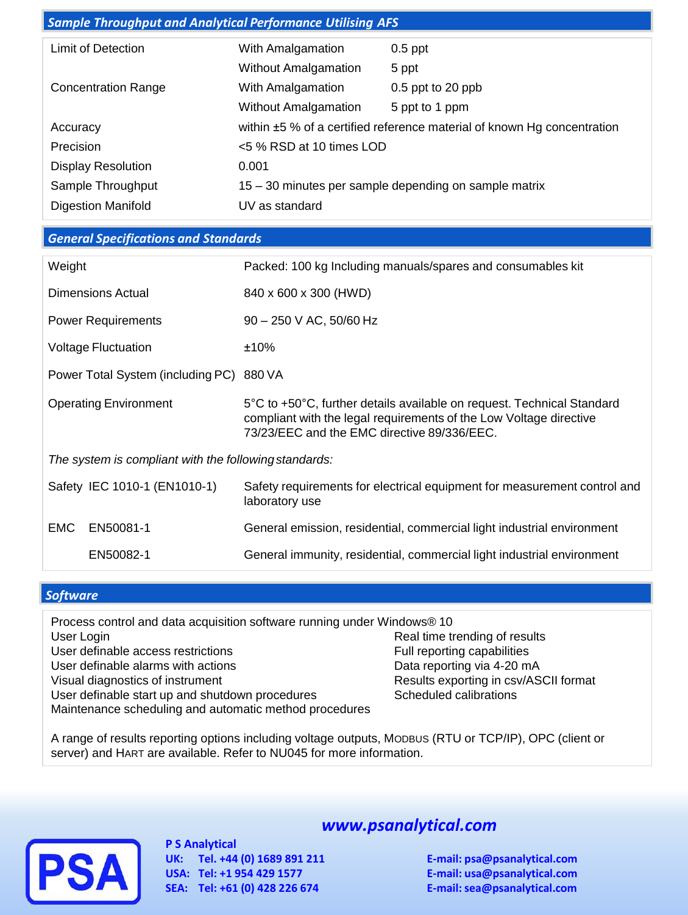| <b>Sample Throughput and Analytical Performance Utilising AFS</b> |                             |                                                                         |
|-------------------------------------------------------------------|-----------------------------|-------------------------------------------------------------------------|
| <b>Limit of Detection</b>                                         | With Amalgamation           | $0.5$ ppt                                                               |
|                                                                   | <b>Without Amalgamation</b> | 5 ppt                                                                   |
| <b>Concentration Range</b>                                        | With Amalgamation           | 0.5 ppt to 20 ppb                                                       |
|                                                                   |                             |                                                                         |
|                                                                   | <b>Without Amalgamation</b> | 5 ppt to 1 ppm                                                          |
| Accuracy                                                          |                             | within ±5 % of a certified reference material of known Hg concentration |
| Precision                                                         | <5 % RSD at 10 times LOD    |                                                                         |
| <b>Display Resolution</b>                                         | 0.001                       |                                                                         |
| Sample Throughput                                                 |                             | 15 – 30 minutes per sample depending on sample matrix                   |
| <b>Digestion Manifold</b>                                         | UV as standard              |                                                                         |

#### *General Specifications and Standards*

| Weight                       |                                                       | Packed: 100 kg Including manuals/spares and consumables kit                                                                                                                                 |  |
|------------------------------|-------------------------------------------------------|---------------------------------------------------------------------------------------------------------------------------------------------------------------------------------------------|--|
| Dimensions Actual            |                                                       | 840 x 600 x 300 (HWD)                                                                                                                                                                       |  |
| <b>Power Requirements</b>    |                                                       | $90 - 250$ V AC, 50/60 Hz                                                                                                                                                                   |  |
| <b>Voltage Fluctuation</b>   |                                                       | ±10%                                                                                                                                                                                        |  |
|                              | Power Total System (including PC)                     | 880 VA                                                                                                                                                                                      |  |
| <b>Operating Environment</b> |                                                       | 5°C to +50°C, further details available on request. Technical Standard<br>compliant with the legal requirements of the Low Voltage directive<br>73/23/EEC and the EMC directive 89/336/EEC. |  |
|                              | The system is compliant with the following standards: |                                                                                                                                                                                             |  |
|                              | Safety IEC 1010-1 (EN1010-1)                          | Safety requirements for electrical equipment for measurement control and<br>laboratory use                                                                                                  |  |
| <b>EMC</b>                   | EN50081-1                                             | General emission, residential, commercial light industrial environment                                                                                                                      |  |
|                              | EN50082-1                                             | General immunity, residential, commercial light industrial environment                                                                                                                      |  |

#### *Software*

Process control and data acquisition software running under Windows® 10 User Login **Community** User Login **Community** Real time trending of results User definable access restrictions **Full reporting capabilities** User definable alarms with actions Data reporting via 4-20 mA Visual diagnostics of instrument<br>User definable start up and shutdown procedures<br>
Scheduled calibrations User definable start up and shutdown procedures Maintenance scheduling and automatic method procedures

A range of results reporting options including voltage outputs, MODBUS (RTU or TCP/IP), OPC (client or server) and HART are available. Refer to NU045 for more information.



**P S Analytical UK: Tel. +44 (0) 1689 891 211 E-mail: psa@psanalytical.com USA: Tel: +1 954 429 1577 E-mail: usa@psanalytical.com SEA: Tel: +61 (0) 428 226 674 E-mail: sea@psanalytical.com**

### *www.psanalytical.com*